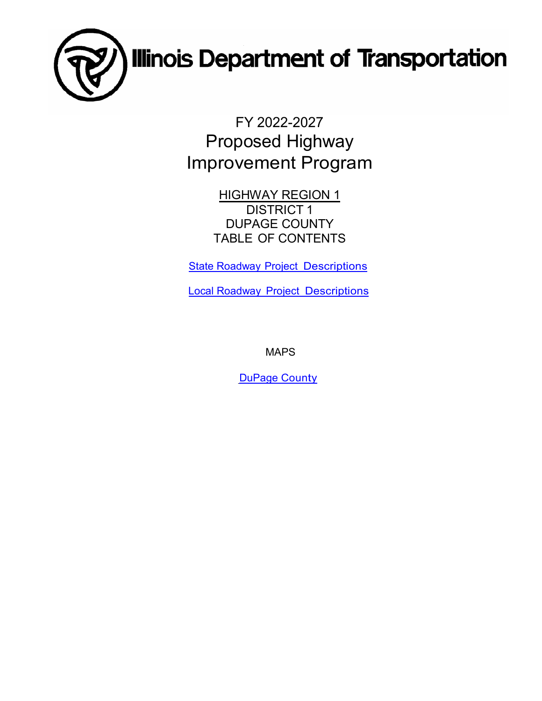

FY 2022-2027 Proposed Highway Improvement Program

> HIGHWAY REGION 1 DISTRICT 1 DUPAGE COUNTY TABLE OF CONTENTS

**State Roadway [Project Descriptions](#page-1-0)** 

Local Roadway [Project Descriptions](#page-12-0)

MAPS

DuPage [County](#page-18-0)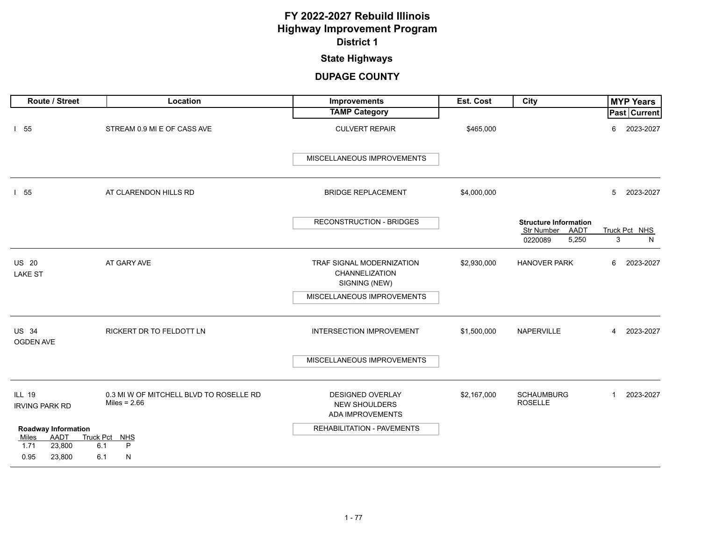### **State Highways**

<span id="page-1-0"></span>

| Route / Street                                     | Location                                                  | Improvements                                                        | Est. Cost   | City                                               | <b>MYP Years</b>            |
|----------------------------------------------------|-----------------------------------------------------------|---------------------------------------------------------------------|-------------|----------------------------------------------------|-----------------------------|
|                                                    |                                                           | <b>TAMP Category</b>                                                |             |                                                    | Past Current                |
| $1\quad55$                                         | STREAM 0.9 MI E OF CASS AVE                               | <b>CULVERT REPAIR</b>                                               | \$465,000   |                                                    | 2023-2027<br>6              |
|                                                    |                                                           | MISCELLANEOUS IMPROVEMENTS                                          |             |                                                    |                             |
| 155                                                | AT CLARENDON HILLS RD                                     | <b>BRIDGE REPLACEMENT</b>                                           | \$4,000,000 |                                                    | 5<br>2023-2027              |
|                                                    |                                                           | <b>RECONSTRUCTION - BRIDGES</b>                                     |             | <b>Structure Information</b><br>Str Number<br>AADT | Truck Pct NHS               |
|                                                    |                                                           |                                                                     |             | 5,250<br>0220089                                   | 3<br>N                      |
| <b>US 20</b><br><b>LAKE ST</b>                     | AT GARY AVE                                               | TRAF SIGNAL MODERNIZATION<br>CHANNELIZATION<br>SIGNING (NEW)        | \$2,930,000 | <b>HANOVER PARK</b>                                | 6<br>2023-2027              |
|                                                    |                                                           | MISCELLANEOUS IMPROVEMENTS                                          |             |                                                    |                             |
| <b>US 34</b><br>OGDEN AVE                          | RICKERT DR TO FELDOTT LN                                  | <b>INTERSECTION IMPROVEMENT</b>                                     | \$1,500,000 | NAPERVILLE                                         | 2023-2027<br>$\overline{4}$ |
|                                                    |                                                           | MISCELLANEOUS IMPROVEMENTS                                          |             |                                                    |                             |
| <b>ILL 19</b><br><b>IRVING PARK RD</b>             | 0.3 MI W OF MITCHELL BLVD TO ROSELLE RD<br>Miles = $2.66$ | DESIGNED OVERLAY<br><b>NEW SHOULDERS</b><br><b>ADA IMPROVEMENTS</b> | \$2,167,000 | <b>SCHAUMBURG</b><br><b>ROSELLE</b>                | 2023-2027<br>$\mathbf{1}$   |
| <b>Roadway Information</b><br><b>AADT</b><br>Miles | Truck Pct NHS                                             | <b>REHABILITATION - PAVEMENTS</b>                                   |             |                                                    |                             |
| 1.71<br>23,800<br>0.95<br>23,800                   | P<br>6.1<br>N<br>6.1                                      |                                                                     |             |                                                    |                             |
|                                                    |                                                           |                                                                     |             |                                                    |                             |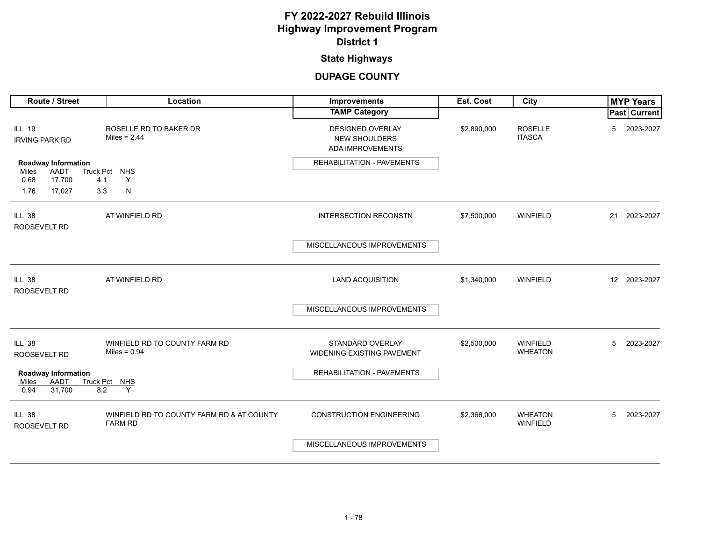### **State Highways**

| Route / Street                                | Location                                                    | Improvements                                                        | Est. Cost   | City                              |    | <b>MYP Years</b>    |
|-----------------------------------------------|-------------------------------------------------------------|---------------------------------------------------------------------|-------------|-----------------------------------|----|---------------------|
|                                               |                                                             | <b>TAMP Category</b>                                                |             |                                   |    | <b>Past Current</b> |
| <b>ILL 19</b><br><b>IRVING PARK RD</b>        | ROSELLE RD TO BAKER DR<br>Miles = $2.44$                    | <b>DESIGNED OVERLAY</b><br><b>NEW SHOULDERS</b><br>ADA IMPROVEMENTS | \$2,890,000 | <b>ROSELLE</b><br><b>ITASCA</b>   | 5  | 2023-2027           |
| <b>Roadway Information</b>                    |                                                             | REHABILITATION - PAVEMENTS                                          |             |                                   |    |                     |
| AADT<br>Miles<br>17,700<br>0.68<br>4.1        | Truck Pct NHS<br>Y                                          |                                                                     |             |                                   |    |                     |
| 1.76<br>17,027<br>3.3                         | N                                                           |                                                                     |             |                                   |    |                     |
| <b>ILL 38</b><br>ROOSEVELT RD                 | AT WINFIELD RD                                              | <b>INTERSECTION RECONSTN</b>                                        | \$7,500,000 | <b>WINFIELD</b>                   | 21 | 2023-2027           |
|                                               |                                                             | MISCELLANEOUS IMPROVEMENTS                                          |             |                                   |    |                     |
| <b>ILL 38</b><br>ROOSEVELT RD                 | AT WINFIELD RD                                              | <b>LAND ACQUISITION</b>                                             | \$1,340,000 | WINFIELD                          |    | 12 2023-2027        |
|                                               |                                                             | MISCELLANEOUS IMPROVEMENTS                                          |             |                                   |    |                     |
| <b>ILL 38</b><br>ROOSEVELT RD                 | WINFIELD RD TO COUNTY FARM RD<br>Miles = $0.94$             | <b>STANDARD OVERLAY</b><br>WIDENING EXISTING PAVEMENT               | \$2,500,000 | <b>WINFIELD</b><br><b>WHEATON</b> | 5  | 2023-2027           |
| <b>Roadway Information</b>                    |                                                             | REHABILITATION - PAVEMENTS                                          |             |                                   |    |                     |
| <b>AADT</b><br>Miles<br>31,700<br>8.2<br>0.94 | Truck Pct NHS<br>Y                                          |                                                                     |             |                                   |    |                     |
| <b>ILL 38</b><br>ROOSEVELT RD                 | WINFIELD RD TO COUNTY FARM RD & AT COUNTY<br><b>FARM RD</b> | <b>CONSTRUCTION ENGINEERING</b>                                     | \$2,366,000 | <b>WHEATON</b><br><b>WINFIELD</b> | 5  | 2023-2027           |
|                                               |                                                             | MISCELLANEOUS IMPROVEMENTS                                          |             |                                   |    |                     |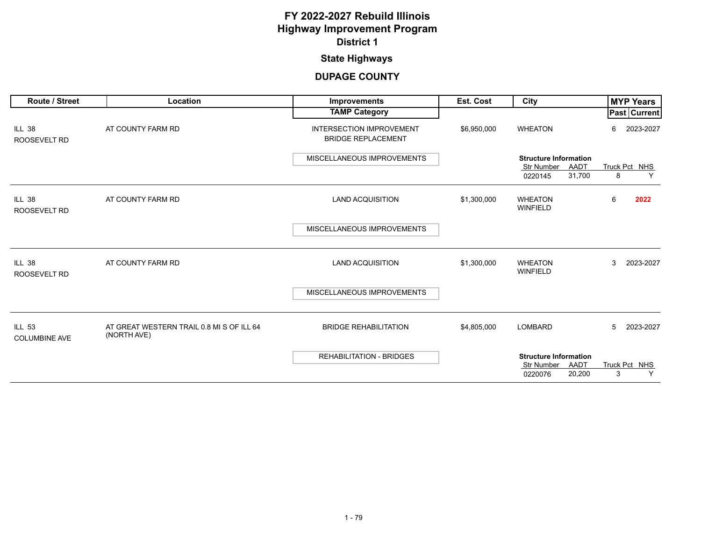### **State Highways**

| <b>Route / Street</b>                 | Location                                                 | <b>Improvements</b>                                          | <b>Est. Cost</b> | City                                                                           | <b>MYP Years</b>        |
|---------------------------------------|----------------------------------------------------------|--------------------------------------------------------------|------------------|--------------------------------------------------------------------------------|-------------------------|
|                                       |                                                          | <b>TAMP Category</b>                                         |                  |                                                                                | Past   Current          |
| <b>ILL 38</b><br><b>ROOSEVELT RD</b>  | AT COUNTY FARM RD                                        | <b>INTERSECTION IMPROVEMENT</b><br><b>BRIDGE REPLACEMENT</b> | \$6,950,000      | <b>WHEATON</b>                                                                 | 2023-2027<br>6          |
|                                       |                                                          | MISCELLANEOUS IMPROVEMENTS                                   |                  | <b>Structure Information</b>                                                   |                         |
|                                       |                                                          |                                                              |                  | AADT<br><b>Str Number</b><br>31,700<br>0220145                                 | Truck Pct NHS<br>Y<br>8 |
| <b>ILL 38</b><br><b>ROOSEVELT RD</b>  | AT COUNTY FARM RD                                        | <b>LAND ACQUISITION</b>                                      | \$1,300,000      | <b>WHEATON</b><br><b>WINFIELD</b>                                              | 6<br>2022               |
|                                       |                                                          | MISCELLANEOUS IMPROVEMENTS                                   |                  |                                                                                |                         |
| <b>ILL 38</b><br><b>ROOSEVELT RD</b>  | AT COUNTY FARM RD                                        | <b>LAND ACQUISITION</b>                                      | \$1,300,000      | <b>WHEATON</b><br><b>WINFIELD</b>                                              | 3<br>2023-2027          |
|                                       |                                                          | MISCELLANEOUS IMPROVEMENTS                                   |                  |                                                                                |                         |
| <b>ILL 53</b><br><b>COLUMBINE AVE</b> | AT GREAT WESTERN TRAIL 0.8 MI S OF ILL 64<br>(NORTH AVE) | <b>BRIDGE REHABILITATION</b>                                 | \$4,805,000      | <b>LOMBARD</b>                                                                 | 5<br>2023-2027          |
|                                       |                                                          | <b>REHABILITATION - BRIDGES</b>                              |                  | <b>Structure Information</b><br>AADT<br><b>Str Number</b><br>20,200<br>0220076 | Truck Pct NHS<br>3<br>Y |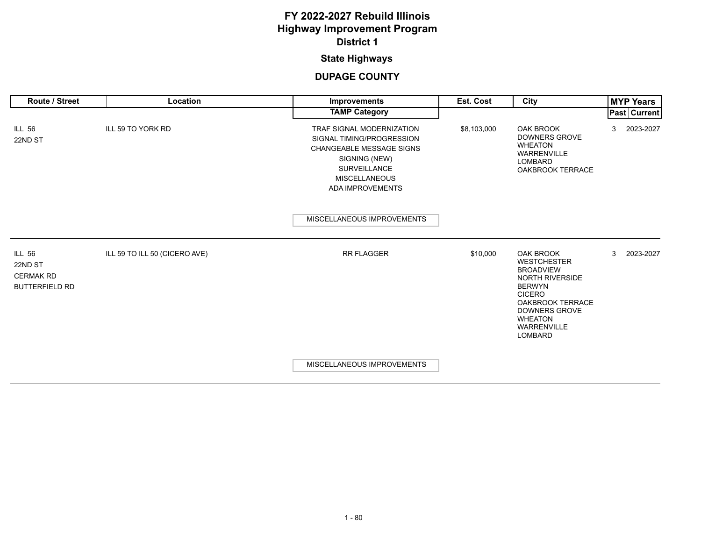### **State Highways**

| <b>Route / Street</b>                                                 | Location                      | <b>Improvements</b>                                                                                                                                                                  | <b>Est. Cost</b> | City                                                                                                                                                                                                                                | <b>MYP Years</b> |
|-----------------------------------------------------------------------|-------------------------------|--------------------------------------------------------------------------------------------------------------------------------------------------------------------------------------|------------------|-------------------------------------------------------------------------------------------------------------------------------------------------------------------------------------------------------------------------------------|------------------|
|                                                                       |                               | <b>TAMP Category</b>                                                                                                                                                                 |                  |                                                                                                                                                                                                                                     | Past Current     |
| <b>ILL 56</b><br>22ND ST                                              | ILL 59 TO YORK RD             | TRAF SIGNAL MODERNIZATION<br>SIGNAL TIMING/PROGRESSION<br><b>CHANGEABLE MESSAGE SIGNS</b><br>SIGNING (NEW)<br><b>SURVEILLANCE</b><br><b>MISCELLANEOUS</b><br><b>ADA IMPROVEMENTS</b> | \$8,103,000      | OAK BROOK<br><b>DOWNERS GROVE</b><br><b>WHEATON</b><br><b>WARRENVILLE</b><br><b>LOMBARD</b><br><b>OAKBROOK TERRACE</b>                                                                                                              | 2023-2027<br>3   |
|                                                                       |                               | MISCELLANEOUS IMPROVEMENTS                                                                                                                                                           |                  |                                                                                                                                                                                                                                     |                  |
| <b>ILL 56</b><br>22ND ST<br><b>CERMAK RD</b><br><b>BUTTERFIELD RD</b> | ILL 59 TO ILL 50 (CICERO AVE) | <b>RR FLAGGER</b>                                                                                                                                                                    | \$10,000         | <b>OAK BROOK</b><br><b>WESTCHESTER</b><br><b>BROADVIEW</b><br><b>NORTH RIVERSIDE</b><br><b>BERWYN</b><br><b>CICERO</b><br><b>OAKBROOK TERRACE</b><br><b>DOWNERS GROVE</b><br><b>WHEATON</b><br><b>WARRENVILLE</b><br><b>LOMBARD</b> | 2023-2027<br>3   |
|                                                                       |                               | MISCELLANEOUS IMPROVEMENTS                                                                                                                                                           |                  |                                                                                                                                                                                                                                     |                  |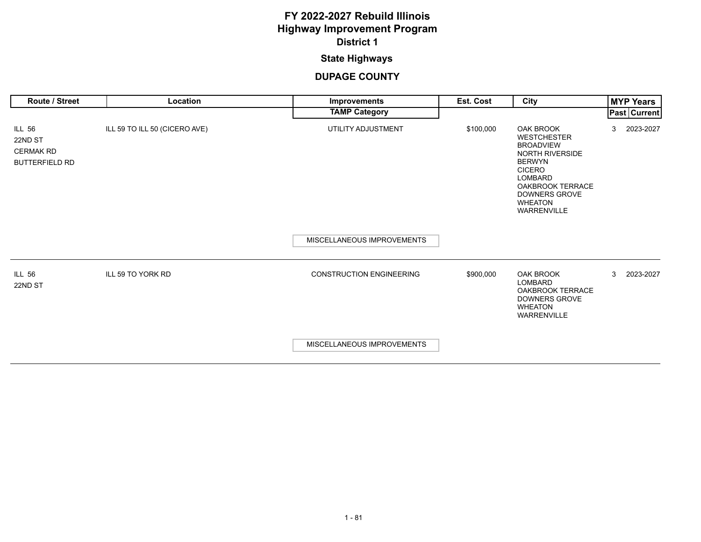### **State Highways**

| <b>Route / Street</b>                                                 | <b>Location</b>               | <b>Improvements</b>             | Est. Cost | City                                                                                                                                                                                                                  |   | <b>MYP Years</b>    |
|-----------------------------------------------------------------------|-------------------------------|---------------------------------|-----------|-----------------------------------------------------------------------------------------------------------------------------------------------------------------------------------------------------------------------|---|---------------------|
|                                                                       |                               | <b>TAMP Category</b>            |           |                                                                                                                                                                                                                       |   | <b>Past Current</b> |
| <b>ILL 56</b><br>22ND ST<br><b>CERMAK RD</b><br><b>BUTTERFIELD RD</b> | ILL 59 TO ILL 50 (CICERO AVE) | UTILITY ADJUSTMENT              | \$100,000 | <b>OAK BROOK</b><br><b>WESTCHESTER</b><br><b>BROADVIEW</b><br>NORTH RIVERSIDE<br><b>BERWYN</b><br><b>CICERO</b><br><b>LOMBARD</b><br><b>OAKBROOK TERRACE</b><br><b>DOWNERS GROVE</b><br><b>WHEATON</b><br>WARRENVILLE | 3 | 2023-2027           |
|                                                                       |                               | MISCELLANEOUS IMPROVEMENTS      |           |                                                                                                                                                                                                                       |   |                     |
| <b>ILL 56</b><br>22ND ST                                              | ILL 59 TO YORK RD             | <b>CONSTRUCTION ENGINEERING</b> | \$900,000 | <b>OAK BROOK</b><br><b>LOMBARD</b><br><b>OAKBROOK TERRACE</b><br><b>DOWNERS GROVE</b><br><b>WHEATON</b><br>WARRENVILLE                                                                                                | 3 | 2023-2027           |
|                                                                       |                               | MISCELLANEOUS IMPROVEMENTS      |           |                                                                                                                                                                                                                       |   |                     |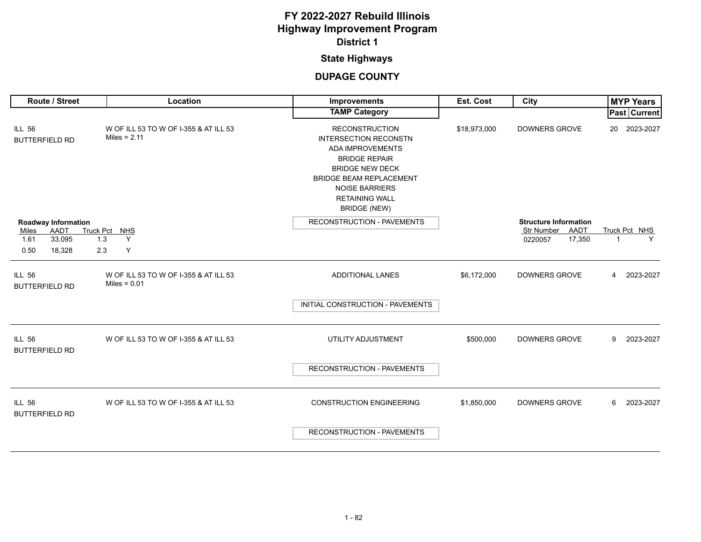### **State Highways**

| Route / Street                         | Location                                                | <b>Improvements</b>                                                                                                                                                                                                                    | Est. Cost    | City                                    | <b>MYP Years</b>         |
|----------------------------------------|---------------------------------------------------------|----------------------------------------------------------------------------------------------------------------------------------------------------------------------------------------------------------------------------------------|--------------|-----------------------------------------|--------------------------|
|                                        |                                                         | <b>TAMP Category</b>                                                                                                                                                                                                                   |              |                                         | <b>Past Current</b>      |
| <b>ILL 56</b><br><b>BUTTERFIELD RD</b> | W OF ILL 53 TO W OF I-355 & AT ILL 53<br>Miles = $2.11$ | <b>RECONSTRUCTION</b><br><b>INTERSECTION RECONSTN</b><br>ADA IMPROVEMENTS<br><b>BRIDGE REPAIR</b><br><b>BRIDGE NEW DECK</b><br><b>BRIDGE BEAM REPLACEMENT</b><br><b>NOISE BARRIERS</b><br><b>RETAINING WALL</b><br><b>BRIDGE (NEW)</b> | \$18,973,000 | <b>DOWNERS GROVE</b>                    | 20 2023-2027             |
| Roadway Information                    |                                                         | RECONSTRUCTION - PAVEMENTS                                                                                                                                                                                                             |              | <b>Structure Information</b>            |                          |
| AADT<br>Miles<br>33,095<br>1.61<br>1.3 | Truck Pct NHS<br>Y                                      |                                                                                                                                                                                                                                        |              | Str Number<br>AADT<br>17,350<br>0220057 | Truck Pct NHS<br>Y<br>-1 |
| 0.50<br>2.3<br>18,328                  | Υ                                                       |                                                                                                                                                                                                                                        |              |                                         |                          |
| <b>ILL 56</b><br><b>BUTTERFIELD RD</b> | W OF ILL 53 TO W OF I-355 & AT ILL 53<br>Miles = $0.01$ | <b>ADDITIONAL LANES</b>                                                                                                                                                                                                                | \$6,172,000  | <b>DOWNERS GROVE</b>                    | 2023-2027<br>4           |
|                                        |                                                         | INITIAL CONSTRUCTION - PAVEMENTS                                                                                                                                                                                                       |              |                                         |                          |
| <b>ILL 56</b><br><b>BUTTERFIELD RD</b> | W OF ILL 53 TO W OF I-355 & AT ILL 53                   | UTILITY ADJUSTMENT                                                                                                                                                                                                                     | \$500,000    | <b>DOWNERS GROVE</b>                    | 2023-2027<br>9           |
|                                        |                                                         | <b>RECONSTRUCTION - PAVEMENTS</b>                                                                                                                                                                                                      |              |                                         |                          |
| <b>ILL 56</b><br><b>BUTTERFIELD RD</b> | W OF ILL 53 TO W OF I-355 & AT ILL 53                   | <b>CONSTRUCTION ENGINEERING</b>                                                                                                                                                                                                        | \$1,850,000  | <b>DOWNERS GROVE</b>                    | 2023-2027<br>6           |
|                                        |                                                         | <b>RECONSTRUCTION - PAVEMENTS</b>                                                                                                                                                                                                      |              |                                         |                          |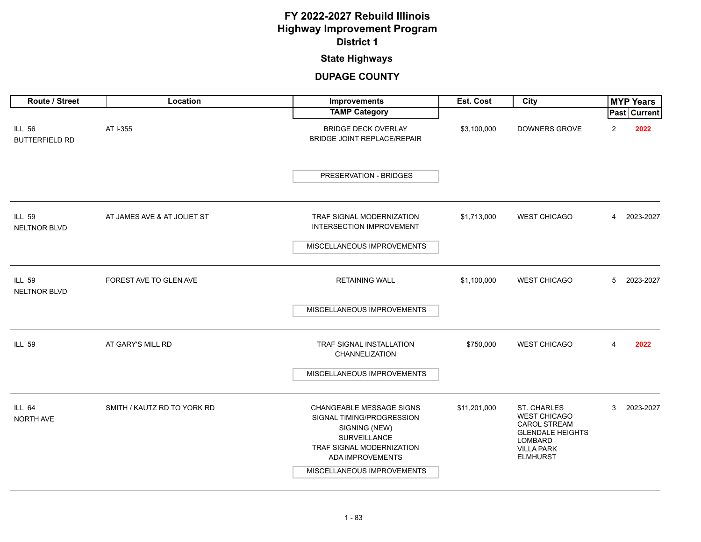### **State Highways**

| Route / Street                         | Location                    | <b>Improvements</b>                                                                                                                                                          | Est. Cost    | City                                                                                                                                    | <b>MYP Years</b> |  |
|----------------------------------------|-----------------------------|------------------------------------------------------------------------------------------------------------------------------------------------------------------------------|--------------|-----------------------------------------------------------------------------------------------------------------------------------------|------------------|--|
|                                        |                             | <b>TAMP Category</b>                                                                                                                                                         |              |                                                                                                                                         | Past Current     |  |
| <b>ILL 56</b><br><b>BUTTERFIELD RD</b> | AT I-355                    | <b>BRIDGE DECK OVERLAY</b><br>BRIDGE JOINT REPLACE/REPAIR                                                                                                                    | \$3,100,000  | <b>DOWNERS GROVE</b>                                                                                                                    | 2<br>2022        |  |
|                                        |                             | PRESERVATION - BRIDGES                                                                                                                                                       |              |                                                                                                                                         |                  |  |
| <b>ILL 59</b><br><b>NELTNOR BLVD</b>   | AT JAMES AVE & AT JOLIET ST | TRAF SIGNAL MODERNIZATION<br>INTERSECTION IMPROVEMENT                                                                                                                        | \$1,713,000  | <b>WEST CHICAGO</b>                                                                                                                     | 2023-2027<br>4   |  |
|                                        |                             | MISCELLANEOUS IMPROVEMENTS                                                                                                                                                   |              |                                                                                                                                         |                  |  |
| <b>ILL 59</b><br>NELTNOR BLVD          | FOREST AVE TO GLEN AVE      | <b>RETAINING WALL</b>                                                                                                                                                        | \$1,100,000  | <b>WEST CHICAGO</b>                                                                                                                     | 5<br>2023-2027   |  |
|                                        |                             | MISCELLANEOUS IMPROVEMENTS                                                                                                                                                   |              |                                                                                                                                         |                  |  |
| <b>ILL 59</b>                          | AT GARY'S MILL RD           | <b>TRAF SIGNAL INSTALLATION</b><br>CHANNELIZATION                                                                                                                            | \$750,000    | <b>WEST CHICAGO</b>                                                                                                                     | 4<br>2022        |  |
|                                        |                             | MISCELLANEOUS IMPROVEMENTS                                                                                                                                                   |              |                                                                                                                                         |                  |  |
| <b>ILL 64</b><br>NORTH AVE             | SMITH / KAUTZ RD TO YORK RD | <b>CHANGEABLE MESSAGE SIGNS</b><br>SIGNAL TIMING/PROGRESSION<br>SIGNING (NEW)<br>SURVEILLANCE<br>TRAF SIGNAL MODERNIZATION<br>ADA IMPROVEMENTS<br>MISCELLANEOUS IMPROVEMENTS | \$11,201,000 | ST. CHARLES<br><b>WEST CHICAGO</b><br><b>CAROL STREAM</b><br><b>GLENDALE HEIGHTS</b><br>LOMBARD<br><b>VILLA PARK</b><br><b>ELMHURST</b> | 3<br>2023-2027   |  |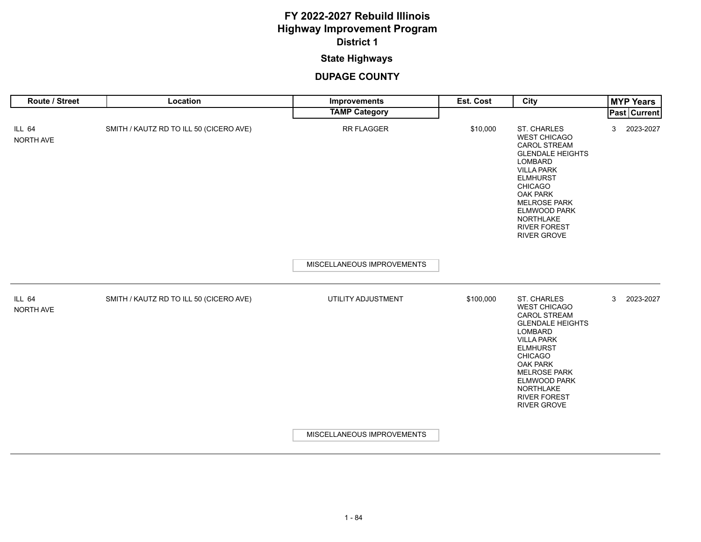### **State Highways**

| Route / Street             | Location                                | Improvements               | Est. Cost | City                                                                                                                                                                                                                                                                                 | <b>MYP Years</b>          |
|----------------------------|-----------------------------------------|----------------------------|-----------|--------------------------------------------------------------------------------------------------------------------------------------------------------------------------------------------------------------------------------------------------------------------------------------|---------------------------|
|                            |                                         | <b>TAMP Category</b>       |           |                                                                                                                                                                                                                                                                                      | <b>Past Current</b>       |
| <b>ILL 64</b><br>NORTH AVE | SMITH / KAUTZ RD TO ILL 50 (CICERO AVE) | <b>RR FLAGGER</b>          | \$10,000  | <b>ST. CHARLES</b><br><b>WEST CHICAGO</b><br><b>CAROL STREAM</b><br><b>GLENDALE HEIGHTS</b><br>LOMBARD<br><b>VILLA PARK</b><br><b>ELMHURST</b><br><b>CHICAGO</b><br>OAK PARK<br><b>MELROSE PARK</b><br><b>ELMWOOD PARK</b><br><b>NORTHLAKE</b><br><b>RIVER FOREST</b><br>RIVER GROVE | 2023-2027<br>3            |
|                            |                                         | MISCELLANEOUS IMPROVEMENTS |           |                                                                                                                                                                                                                                                                                      |                           |
| <b>ILL 64</b><br>NORTH AVE | SMITH / KAUTZ RD TO ILL 50 (CICERO AVE) | UTILITY ADJUSTMENT         | \$100,000 | ST. CHARLES<br><b>WEST CHICAGO</b><br><b>CAROL STREAM</b><br><b>GLENDALE HEIGHTS</b><br>LOMBARD<br><b>VILLA PARK</b><br><b>ELMHURST</b><br><b>CHICAGO</b><br><b>OAK PARK</b><br><b>MELROSE PARK</b><br><b>ELMWOOD PARK</b><br>NORTHLAKE<br><b>RIVER FOREST</b><br><b>RIVER GROVE</b> | $\mathbf{3}$<br>2023-2027 |
|                            |                                         | MISCELLANEOUS IMPROVEMENTS |           |                                                                                                                                                                                                                                                                                      |                           |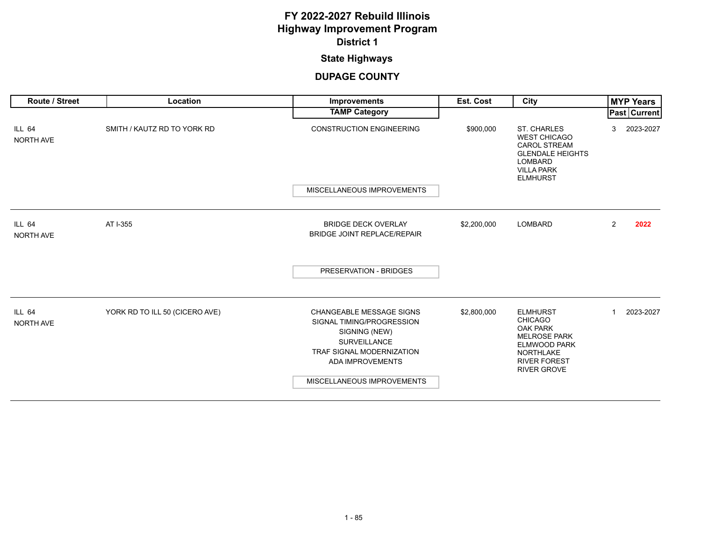### **State Highways**

| <b>Route / Street</b>      | Location                       | <b>Improvements</b>                                                                                                                                                                        | Est. Cost   | City                                                                                                                                                                | <b>MYP Years</b>            |
|----------------------------|--------------------------------|--------------------------------------------------------------------------------------------------------------------------------------------------------------------------------------------|-------------|---------------------------------------------------------------------------------------------------------------------------------------------------------------------|-----------------------------|
|                            |                                | <b>TAMP Category</b>                                                                                                                                                                       |             |                                                                                                                                                                     | <b>Past   Current  </b>     |
| ILL 64<br>NORTH AVE        | SMITH / KAUTZ RD TO YORK RD    | <b>CONSTRUCTION ENGINEERING</b>                                                                                                                                                            | \$900,000   | <b>ST. CHARLES</b><br><b>WEST CHICAGO</b><br><b>CAROL STREAM</b><br><b>GLENDALE HEIGHTS</b><br><b>LOMBARD</b><br><b>VILLA PARK</b><br><b>ELMHURST</b>               | 2023-2027<br>3              |
|                            |                                | MISCELLANEOUS IMPROVEMENTS                                                                                                                                                                 |             |                                                                                                                                                                     |                             |
| ILL 64<br>NORTH AVE        | AT I-355                       | <b>BRIDGE DECK OVERLAY</b><br><b>BRIDGE JOINT REPLACE/REPAIR</b>                                                                                                                           | \$2,200,000 | <b>LOMBARD</b>                                                                                                                                                      | $\overline{2}$<br>2022      |
|                            |                                | PRESERVATION - BRIDGES                                                                                                                                                                     |             |                                                                                                                                                                     |                             |
| <b>ILL 64</b><br>NORTH AVE | YORK RD TO ILL 50 (CICERO AVE) | <b>CHANGEABLE MESSAGE SIGNS</b><br>SIGNAL TIMING/PROGRESSION<br>SIGNING (NEW)<br><b>SURVEILLANCE</b><br>TRAF SIGNAL MODERNIZATION<br><b>ADA IMPROVEMENTS</b><br>MISCELLANEOUS IMPROVEMENTS | \$2,800,000 | <b>ELMHURST</b><br><b>CHICAGO</b><br><b>OAK PARK</b><br><b>MELROSE PARK</b><br><b>ELMWOOD PARK</b><br><b>NORTHLAKE</b><br><b>RIVER FOREST</b><br><b>RIVER GROVE</b> | 2023-2027<br>$\overline{ }$ |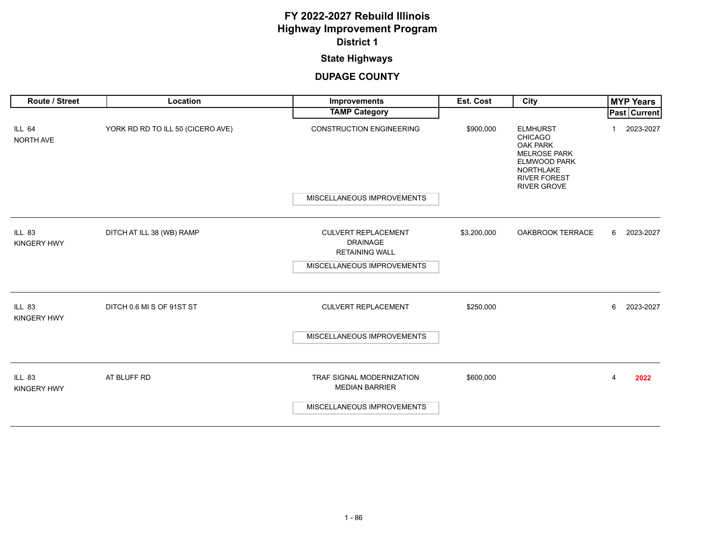### **State Highways**

| Route / Street                      | Location                          | Improvements                                                                                         | Est. Cost   | City                                                                                                                                                         |   | <b>MYP Years</b>    |
|-------------------------------------|-----------------------------------|------------------------------------------------------------------------------------------------------|-------------|--------------------------------------------------------------------------------------------------------------------------------------------------------------|---|---------------------|
|                                     |                                   | <b>TAMP Category</b>                                                                                 |             |                                                                                                                                                              |   | <b>Past Current</b> |
| ILL 64<br>NORTH AVE                 | YORK RD RD TO ILL 50 (CICERO AVE) | <b>CONSTRUCTION ENGINEERING</b>                                                                      | \$900,000   | <b>ELMHURST</b><br><b>CHICAGO</b><br><b>OAK PARK</b><br><b>MELROSE PARK</b><br>ELMWOOD PARK<br><b>NORTHLAKE</b><br><b>RIVER FOREST</b><br><b>RIVER GROVE</b> |   | 2023-2027           |
|                                     |                                   | MISCELLANEOUS IMPROVEMENTS                                                                           |             |                                                                                                                                                              |   |                     |
| <b>ILL 83</b><br><b>KINGERY HWY</b> | DITCH AT ILL 38 (WB) RAMP         | <b>CULVERT REPLACEMENT</b><br><b>DRAINAGE</b><br><b>RETAINING WALL</b><br>MISCELLANEOUS IMPROVEMENTS | \$3,200,000 | OAKBROOK TERRACE                                                                                                                                             | 6 | 2023-2027           |
| <b>ILL 83</b><br><b>KINGERY HWY</b> | DITCH 0.6 MI S OF 91ST ST         | <b>CULVERT REPLACEMENT</b>                                                                           | \$250,000   |                                                                                                                                                              | 6 | 2023-2027           |
|                                     |                                   | MISCELLANEOUS IMPROVEMENTS                                                                           |             |                                                                                                                                                              |   |                     |
| <b>ILL 83</b><br><b>KINGERY HWY</b> | AT BLUFF RD                       | TRAF SIGNAL MODERNIZATION<br><b>MEDIAN BARRIER</b>                                                   | \$600,000   |                                                                                                                                                              | 4 | 2022                |
|                                     |                                   | MISCELLANEOUS IMPROVEMENTS                                                                           |             |                                                                                                                                                              |   |                     |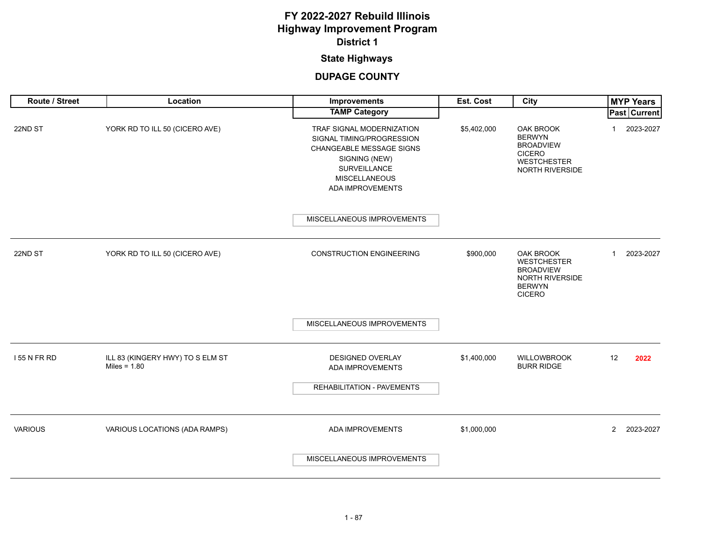### **State Highways**

| Route / Street | Location                                           | Improvements                                                                                                                                                    | Est. Cost   | City                                                                                                            | <b>MYP Years</b>            |
|----------------|----------------------------------------------------|-----------------------------------------------------------------------------------------------------------------------------------------------------------------|-------------|-----------------------------------------------------------------------------------------------------------------|-----------------------------|
|                |                                                    | <b>TAMP Category</b>                                                                                                                                            |             |                                                                                                                 | <b>Past Current</b>         |
| 22ND ST        | YORK RD TO ILL 50 (CICERO AVE)                     | TRAF SIGNAL MODERNIZATION<br>SIGNAL TIMING/PROGRESSION<br>CHANGEABLE MESSAGE SIGNS<br>SIGNING (NEW)<br>SURVEILLANCE<br><b>MISCELLANEOUS</b><br>ADA IMPROVEMENTS | \$5,402,000 | <b>OAK BROOK</b><br><b>BERWYN</b><br><b>BROADVIEW</b><br><b>CICERO</b><br><b>WESTCHESTER</b><br>NORTH RIVERSIDE | 2023-2027<br>$\mathbf{1}$   |
|                |                                                    | MISCELLANEOUS IMPROVEMENTS                                                                                                                                      |             |                                                                                                                 |                             |
| 22ND ST        | YORK RD TO ILL 50 (CICERO AVE)                     | <b>CONSTRUCTION ENGINEERING</b>                                                                                                                                 | \$900,000   | <b>OAK BROOK</b><br><b>WESTCHESTER</b><br><b>BROADVIEW</b><br>NORTH RIVERSIDE<br><b>BERWYN</b><br><b>CICERO</b> | 2023-2027<br>$\mathbf{1}$   |
|                |                                                    | MISCELLANEOUS IMPROVEMENTS                                                                                                                                      |             |                                                                                                                 |                             |
| 155 N FR RD    | ILL 83 (KINGERY HWY) TO S ELM ST<br>Miles = $1.80$ | DESIGNED OVERLAY<br>ADA IMPROVEMENTS<br>REHABILITATION - PAVEMENTS                                                                                              | \$1,400,000 | <b>WILLOWBROOK</b><br><b>BURR RIDGE</b>                                                                         | 12<br>2022                  |
| <b>VARIOUS</b> | VARIOUS LOCATIONS (ADA RAMPS)                      | ADA IMPROVEMENTS                                                                                                                                                | \$1,000,000 |                                                                                                                 | $\overline{2}$<br>2023-2027 |
|                |                                                    | MISCELLANEOUS IMPROVEMENTS                                                                                                                                      |             |                                                                                                                 |                             |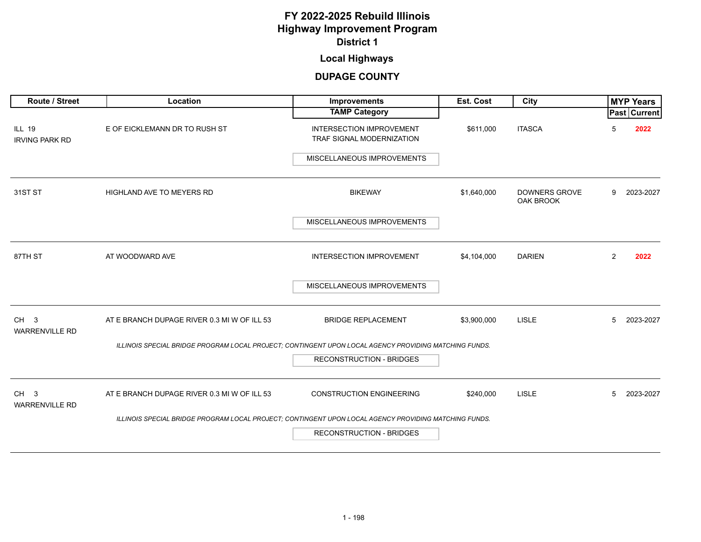### **Local Highways**

<span id="page-12-0"></span>

| <b>Route / Street</b>                    | Location                                                                                              | Improvements                                                 | Est. Cost   | City                                     |                | <b>MYP Years</b>    |
|------------------------------------------|-------------------------------------------------------------------------------------------------------|--------------------------------------------------------------|-------------|------------------------------------------|----------------|---------------------|
|                                          |                                                                                                       | <b>TAMP Category</b>                                         |             |                                          |                | <b>Past Current</b> |
| <b>ILL 19</b><br><b>IRVING PARK RD</b>   | E OF EICKLEMANN DR TO RUSH ST                                                                         | <b>INTERSECTION IMPROVEMENT</b><br>TRAF SIGNAL MODERNIZATION | \$611,000   | <b>ITASCA</b>                            | 5              | 2022                |
|                                          |                                                                                                       | MISCELLANEOUS IMPROVEMENTS                                   |             |                                          |                |                     |
| 31ST ST                                  | <b>HIGHLAND AVE TO MEYERS RD</b>                                                                      | <b>BIKEWAY</b>                                               | \$1,640,000 | <b>DOWNERS GROVE</b><br><b>OAK BROOK</b> | 9              | 2023-2027           |
|                                          |                                                                                                       | MISCELLANEOUS IMPROVEMENTS                                   |             |                                          |                |                     |
| 87TH ST                                  | AT WOODWARD AVE                                                                                       | <b>INTERSECTION IMPROVEMENT</b>                              | \$4,104,000 | <b>DARIEN</b>                            | $\overline{2}$ | 2022                |
|                                          |                                                                                                       | MISCELLANEOUS IMPROVEMENTS                                   |             |                                          |                |                     |
| CH <sub>3</sub><br><b>WARRENVILLE RD</b> | AT E BRANCH DUPAGE RIVER 0.3 MI W OF ILL 53                                                           | <b>BRIDGE REPLACEMENT</b>                                    | \$3,900,000 | <b>LISLE</b>                             | 5              | 2023-2027           |
|                                          | ILLINOIS SPECIAL BRIDGE PROGRAM LOCAL PROJECT; CONTINGENT UPON LOCAL AGENCY PROVIDING MATCHING FUNDS. |                                                              |             |                                          |                |                     |
|                                          |                                                                                                       | <b>RECONSTRUCTION - BRIDGES</b>                              |             |                                          |                |                     |
| CH <sub>3</sub><br><b>WARRENVILLE RD</b> | AT E BRANCH DUPAGE RIVER 0.3 MI W OF ILL 53                                                           | <b>CONSTRUCTION ENGINEERING</b>                              | \$240,000   | <b>LISLE</b>                             | 5              | 2023-2027           |
|                                          | ILLINOIS SPECIAL BRIDGE PROGRAM LOCAL PROJECT; CONTINGENT UPON LOCAL AGENCY PROVIDING MATCHING FUNDS. |                                                              |             |                                          |                |                     |
|                                          |                                                                                                       | <b>RECONSTRUCTION - BRIDGES</b>                              |             |                                          |                |                     |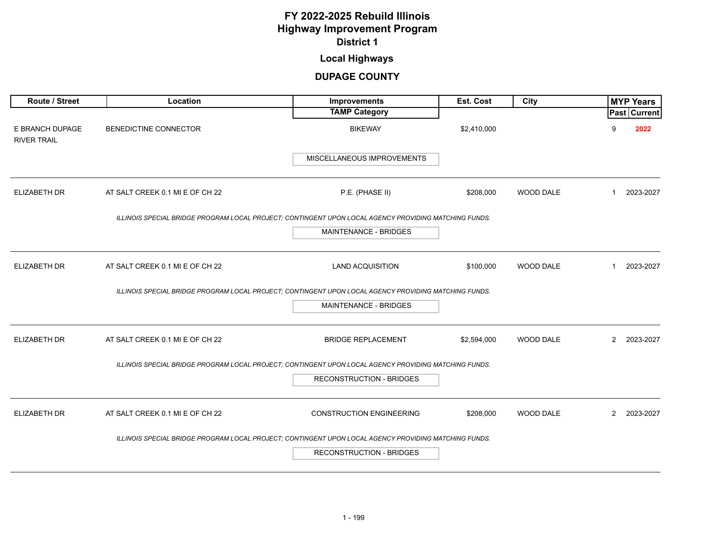### **Local Highways**

| <b>Route / Street</b>                 | Location                                                                                              | <b>Improvements</b>             | <b>Est. Cost</b> | City             |                | <b>MYP Years</b>    |
|---------------------------------------|-------------------------------------------------------------------------------------------------------|---------------------------------|------------------|------------------|----------------|---------------------|
|                                       |                                                                                                       | <b>TAMP Category</b>            |                  |                  |                | <b>Past Current</b> |
| E BRANCH DUPAGE<br><b>RIVER TRAIL</b> | BENEDICTINE CONNECTOR                                                                                 | <b>BIKEWAY</b>                  | \$2,410,000      |                  | 9              | 2022                |
|                                       |                                                                                                       | MISCELLANEOUS IMPROVEMENTS      |                  |                  |                |                     |
| <b>ELIZABETH DR</b>                   | AT SALT CREEK 0.1 MI E OF CH 22                                                                       | P.E. (PHASE II)                 | \$208,000        | WOOD DALE        | $\mathbf{1}$   | 2023-2027           |
|                                       | ILLINOIS SPECIAL BRIDGE PROGRAM LOCAL PROJECT; CONTINGENT UPON LOCAL AGENCY PROVIDING MATCHING FUNDS. |                                 |                  |                  |                |                     |
|                                       |                                                                                                       | <b>MAINTENANCE - BRIDGES</b>    |                  |                  |                |                     |
| <b>ELIZABETH DR</b>                   | AT SALT CREEK 0.1 MI E OF CH 22                                                                       | <b>LAND ACQUISITION</b>         | \$100,000        | <b>WOOD DALE</b> | $\mathbf{1}$   | 2023-2027           |
|                                       | ILLINOIS SPECIAL BRIDGE PROGRAM LOCAL PROJECT; CONTINGENT UPON LOCAL AGENCY PROVIDING MATCHING FUNDS. |                                 |                  |                  |                |                     |
|                                       |                                                                                                       | MAINTENANCE - BRIDGES           |                  |                  |                |                     |
| <b>ELIZABETH DR</b>                   | AT SALT CREEK 0.1 MI E OF CH 22                                                                       | <b>BRIDGE REPLACEMENT</b>       | \$2,594,000      | <b>WOOD DALE</b> | $\overline{2}$ | 2023-2027           |
|                                       | ILLINOIS SPECIAL BRIDGE PROGRAM LOCAL PROJECT; CONTINGENT UPON LOCAL AGENCY PROVIDING MATCHING FUNDS. |                                 |                  |                  |                |                     |
|                                       |                                                                                                       | <b>RECONSTRUCTION - BRIDGES</b> |                  |                  |                |                     |
| ELIZABETH DR                          | AT SALT CREEK 0.1 MI E OF CH 22                                                                       | <b>CONSTRUCTION ENGINEERING</b> | \$208,000        | WOOD DALE        | $\mathbf{2}$   | 2023-2027           |
|                                       | ILLINOIS SPECIAL BRIDGE PROGRAM LOCAL PROJECT; CONTINGENT UPON LOCAL AGENCY PROVIDING MATCHING FUNDS. |                                 |                  |                  |                |                     |
|                                       |                                                                                                       | <b>RECONSTRUCTION - BRIDGES</b> |                  |                  |                |                     |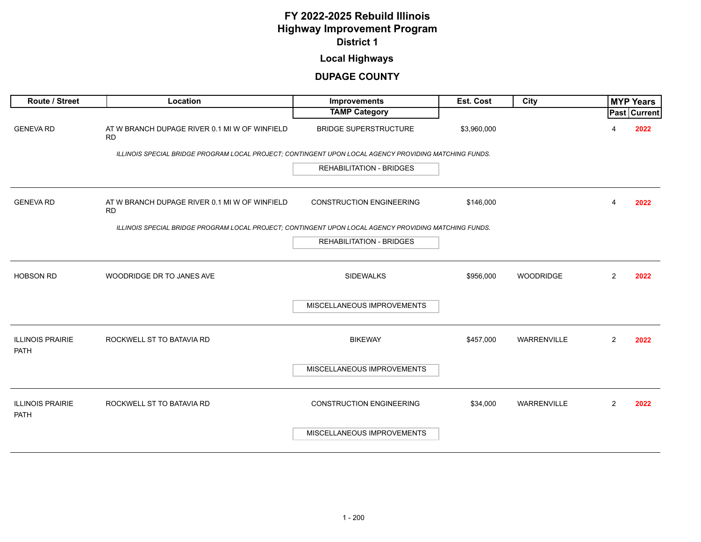### **Local Highways**

| Route / Street                         | Location                                                                                              | Improvements                    | Est. Cost   | City               |                | <b>MYP Years</b>    |
|----------------------------------------|-------------------------------------------------------------------------------------------------------|---------------------------------|-------------|--------------------|----------------|---------------------|
|                                        |                                                                                                       | <b>TAMP Category</b>            |             |                    |                | <b>Past Current</b> |
| <b>GENEVA RD</b>                       | AT W BRANCH DUPAGE RIVER 0.1 MI W OF WINFIELD<br><b>RD</b>                                            | <b>BRIDGE SUPERSTRUCTURE</b>    | \$3,960,000 |                    | Δ              | 2022                |
|                                        | ILLINOIS SPECIAL BRIDGE PROGRAM LOCAL PROJECT; CONTINGENT UPON LOCAL AGENCY PROVIDING MATCHING FUNDS. |                                 |             |                    |                |                     |
|                                        |                                                                                                       | <b>REHABILITATION - BRIDGES</b> |             |                    |                |                     |
| <b>GENEVA RD</b>                       | AT W BRANCH DUPAGE RIVER 0.1 MI W OF WINFIELD<br><b>RD</b>                                            | <b>CONSTRUCTION ENGINEERING</b> | \$146,000   |                    | 4              | 2022                |
|                                        | ILLINOIS SPECIAL BRIDGE PROGRAM LOCAL PROJECT; CONTINGENT UPON LOCAL AGENCY PROVIDING MATCHING FUNDS. |                                 |             |                    |                |                     |
|                                        |                                                                                                       | <b>REHABILITATION - BRIDGES</b> |             |                    |                |                     |
|                                        |                                                                                                       |                                 |             |                    |                |                     |
| <b>HOBSON RD</b>                       | WOODRIDGE DR TO JANES AVE                                                                             | <b>SIDEWALKS</b>                | \$956,000   | WOODRIDGE          | $\overline{2}$ | 2022                |
|                                        |                                                                                                       | MISCELLANEOUS IMPROVEMENTS      |             |                    |                |                     |
| <b>ILLINOIS PRAIRIE</b><br>PATH        | ROCKWELL ST TO BATAVIA RD                                                                             | <b>BIKEWAY</b>                  | \$457,000   | WARRENVILLE        | $\overline{2}$ | 2022                |
|                                        |                                                                                                       | MISCELLANEOUS IMPROVEMENTS      |             |                    |                |                     |
| <b>ILLINOIS PRAIRIE</b><br><b>PATH</b> | ROCKWELL ST TO BATAVIA RD                                                                             | <b>CONSTRUCTION ENGINEERING</b> | \$34,000    | <b>WARRENVILLE</b> | $\overline{2}$ | 2022                |
|                                        |                                                                                                       | MISCELLANEOUS IMPROVEMENTS      |             |                    |                |                     |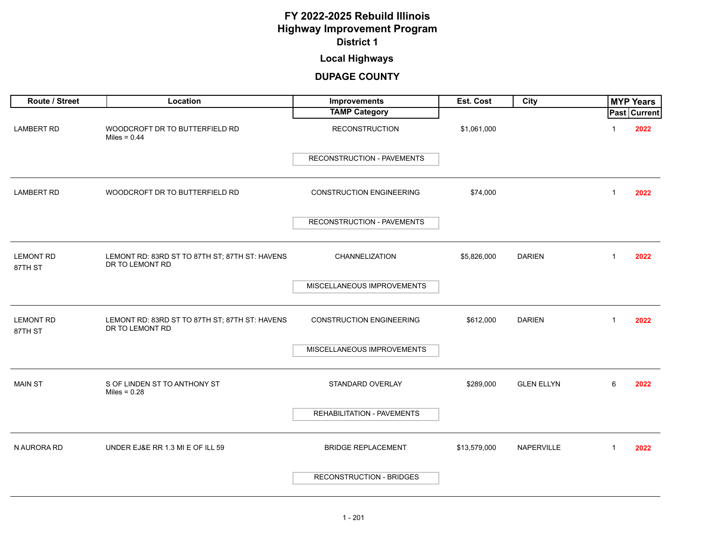### **Local Highways**

| Route / Street              | Location                                                          | Improvements                    | Est. Cost    | City              |              | <b>MYP Years</b>    |  |
|-----------------------------|-------------------------------------------------------------------|---------------------------------|--------------|-------------------|--------------|---------------------|--|
|                             |                                                                   | <b>TAMP Category</b>            |              |                   |              | <b>Past Current</b> |  |
| <b>LAMBERT RD</b>           | WOODCROFT DR TO BUTTERFIELD RD<br>Miles = $0.44$                  | <b>RECONSTRUCTION</b>           | \$1,061,000  |                   |              | 2022                |  |
|                             |                                                                   | RECONSTRUCTION - PAVEMENTS      |              |                   |              |                     |  |
| <b>LAMBERT RD</b>           | WOODCROFT DR TO BUTTERFIELD RD                                    | <b>CONSTRUCTION ENGINEERING</b> | \$74,000     |                   | $\mathbf{1}$ | 2022                |  |
|                             |                                                                   | RECONSTRUCTION - PAVEMENTS      |              |                   |              |                     |  |
|                             |                                                                   |                                 |              |                   |              |                     |  |
| <b>LEMONT RD</b><br>87TH ST | LEMONT RD: 83RD ST TO 87TH ST; 87TH ST: HAVENS<br>DR TO LEMONT RD | CHANNELIZATION                  | \$5,826,000  | <b>DARIEN</b>     | $\mathbf{1}$ | 2022                |  |
|                             |                                                                   | MISCELLANEOUS IMPROVEMENTS      |              |                   |              |                     |  |
| <b>LEMONT RD</b><br>87TH ST | LEMONT RD: 83RD ST TO 87TH ST; 87TH ST: HAVENS<br>DR TO LEMONT RD | <b>CONSTRUCTION ENGINEERING</b> | \$612,000    | <b>DARIEN</b>     | $\mathbf{1}$ | 2022                |  |
|                             |                                                                   | MISCELLANEOUS IMPROVEMENTS      |              |                   |              |                     |  |
| <b>MAIN ST</b>              | S OF LINDEN ST TO ANTHONY ST<br>Miles = $0.28$                    | STANDARD OVERLAY                | \$289,000    | <b>GLEN ELLYN</b> | 6            | 2022                |  |
|                             |                                                                   | REHABILITATION - PAVEMENTS      |              |                   |              |                     |  |
| N AURORA RD                 | UNDER EJ&E RR 1.3 MI E OF ILL 59                                  | <b>BRIDGE REPLACEMENT</b>       | \$13,579,000 | NAPERVILLE        | $\mathbf{1}$ | 2022                |  |
|                             |                                                                   | RECONSTRUCTION - BRIDGES        |              |                   |              |                     |  |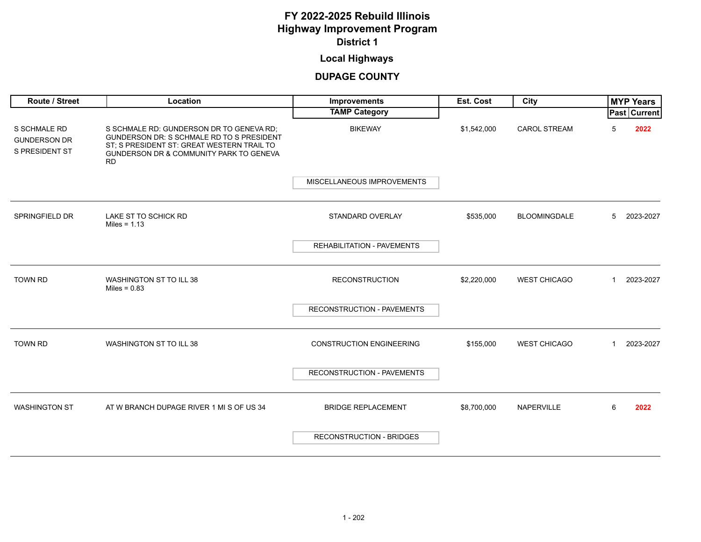# **Local Highways**

| Route / Street                                               | Location                                                                                                                                                                                    | <b>Improvements</b>               | Est. Cost   | City                |                | <b>MYP Years</b> |  |
|--------------------------------------------------------------|---------------------------------------------------------------------------------------------------------------------------------------------------------------------------------------------|-----------------------------------|-------------|---------------------|----------------|------------------|--|
|                                                              |                                                                                                                                                                                             | <b>TAMP Category</b>              |             |                     |                | Past Current     |  |
| <b>S SCHMALE RD</b><br><b>GUNDERSON DR</b><br>S PRESIDENT ST | S SCHMALE RD: GUNDERSON DR TO GENEVA RD;<br>GUNDERSON DR: S SCHMALE RD TO S PRESIDENT<br>ST; S PRESIDENT ST: GREAT WESTERN TRAIL TO<br>GUNDERSON DR & COMMUNITY PARK TO GENEVA<br><b>RD</b> | <b>BIKEWAY</b>                    | \$1,542,000 | <b>CAROL STREAM</b> | 5              | 2022             |  |
|                                                              |                                                                                                                                                                                             | MISCELLANEOUS IMPROVEMENTS        |             |                     |                |                  |  |
| <b>SPRINGFIELD DR</b>                                        | LAKE ST TO SCHICK RD<br>Miles = $1.13$                                                                                                                                                      | STANDARD OVERLAY                  | \$535,000   | <b>BLOOMINGDALE</b> | 5              | 2023-2027        |  |
|                                                              |                                                                                                                                                                                             | <b>REHABILITATION - PAVEMENTS</b> |             |                     |                |                  |  |
| <b>TOWN RD</b>                                               | <b>WASHINGTON ST TO ILL 38</b><br>Miles = $0.83$                                                                                                                                            | <b>RECONSTRUCTION</b>             | \$2,220,000 | <b>WEST CHICAGO</b> | $\mathbf 1$    | 2023-2027        |  |
|                                                              |                                                                                                                                                                                             | RECONSTRUCTION - PAVEMENTS        |             |                     |                |                  |  |
| <b>TOWN RD</b>                                               | WASHINGTON ST TO ILL 38                                                                                                                                                                     | <b>CONSTRUCTION ENGINEERING</b>   | \$155,000   | <b>WEST CHICAGO</b> | $\overline{1}$ | 2023-2027        |  |
|                                                              |                                                                                                                                                                                             | RECONSTRUCTION - PAVEMENTS        |             |                     |                |                  |  |
| <b>WASHINGTON ST</b>                                         | AT W BRANCH DUPAGE RIVER 1 MI S OF US 34                                                                                                                                                    | <b>BRIDGE REPLACEMENT</b>         | \$8,700,000 | NAPERVILLE          | 6              | 2022             |  |
|                                                              |                                                                                                                                                                                             | <b>RECONSTRUCTION - BRIDGES</b>   |             |                     |                |                  |  |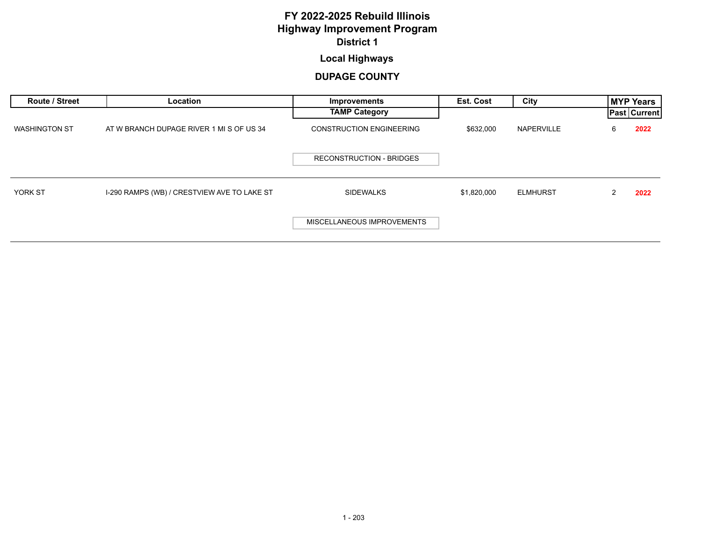# **Local Highways**

| Route / Street       | Location                                    | Improvements                    | <b>Est. Cost</b> | City            |   | <b>MYP Years</b> |
|----------------------|---------------------------------------------|---------------------------------|------------------|-----------------|---|------------------|
|                      |                                             | <b>TAMP Category</b>            |                  |                 |   | Past   Current   |
| <b>WASHINGTON ST</b> | AT W BRANCH DUPAGE RIVER 1 MI S OF US 34    | <b>CONSTRUCTION ENGINEERING</b> | \$632,000        | NAPERVILLE      | 6 | 2022             |
|                      |                                             | <b>RECONSTRUCTION - BRIDGES</b> |                  |                 |   |                  |
| <b>YORK ST</b>       | I-290 RAMPS (WB) / CRESTVIEW AVE TO LAKE ST | <b>SIDEWALKS</b>                | \$1,820,000      | <b>ELMHURST</b> |   | 2022             |
|                      |                                             | MISCELLANEOUS IMPROVEMENTS      |                  |                 |   |                  |